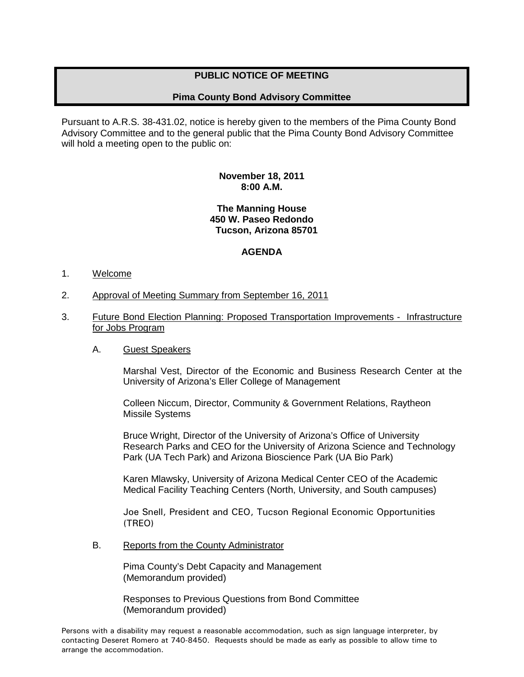# **PUBLIC NOTICE OF MEETING**

# **Pima County Bond Advisory Committee**

Pursuant to A.R.S. 38-431.02, notice is hereby given to the members of the Pima County Bond Advisory Committee and to the general public that the Pima County Bond Advisory Committee will hold a meeting open to the public on:

## **November 18, 2011 8:00 A.M.**

#### **The Manning House 450 W. Paseo Redondo Tucson, Arizona 85701**

## **AGENDA**

#### 1. Welcome

- 2. Approval of Meeting Summary from September 16, 2011
- 3. Future Bond Election Planning: Proposed Transportation Improvements Infrastructure for Jobs Program

#### A. Guest Speakers

Marshal Vest, Director of the Economic and Business Research Center at the University of Arizona's Eller College of Management

Colleen Niccum, Director, Community & Government Relations, Raytheon Missile Systems

Bruce Wright, Director of the University of Arizona's Office of University Research Parks and CEO for the University of Arizona Science and Technology Park (UA Tech Park) and Arizona Bioscience Park (UA Bio Park)

Karen Mlawsky, University of Arizona Medical Center CEO of the Academic Medical Facility Teaching Centers (North, University, and South campuses)

Joe Snell, President and CEO, Tucson Regional Economic Opportunities (TREO)

B. Reports from the County Administrator

Pima County's Debt Capacity and Management (Memorandum provided)

Responses to Previous Questions from Bond Committee (Memorandum provided)

Persons with a disability may request a reasonable accommodation, such as sign language interpreter, by contacting Deseret Romero at 740-8450. Requests should be made as early as possible to allow time to arrange the accommodation.